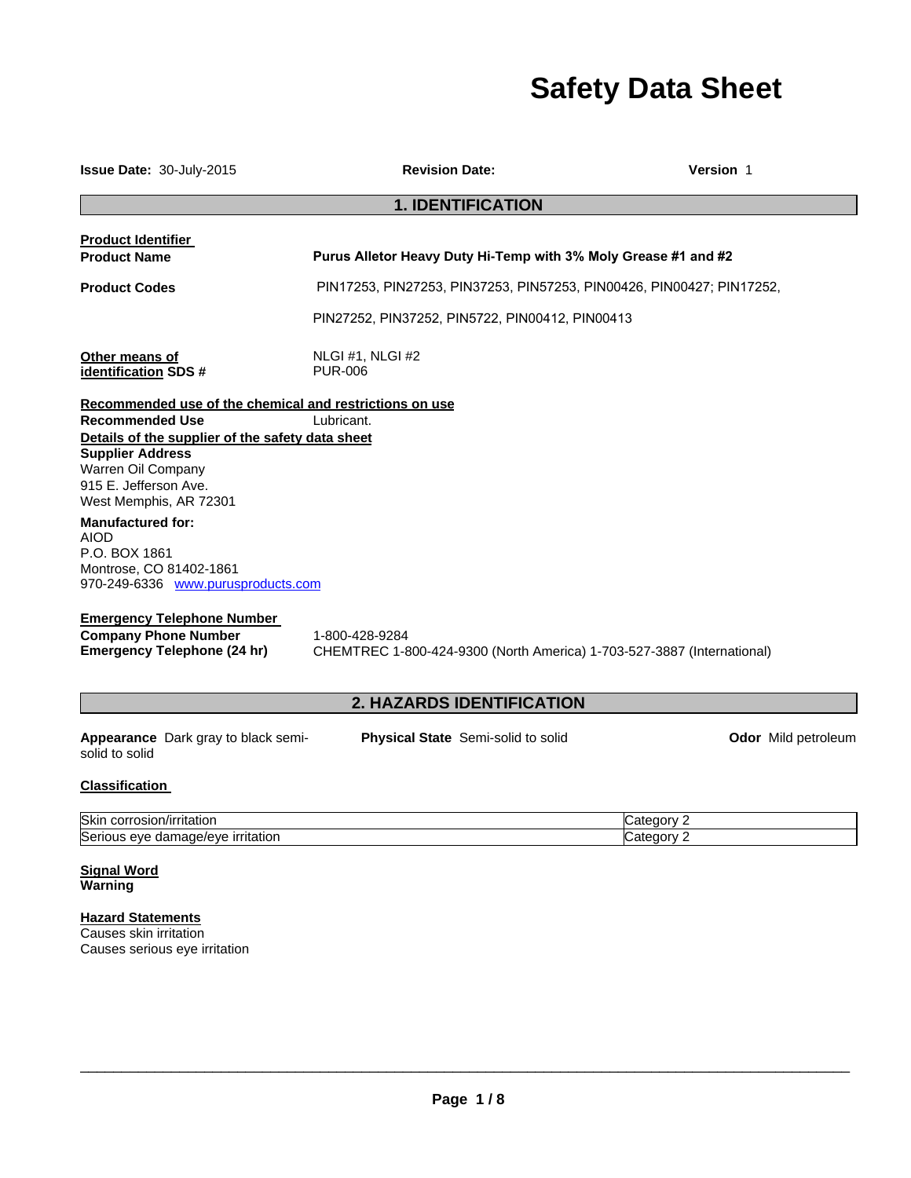# **Safety Data Sheet**

| <b>Issue Date: 30-July-2015</b>                                                                                                                                                | <b>Revision Date:</b>                                                                    | Version 1           |
|--------------------------------------------------------------------------------------------------------------------------------------------------------------------------------|------------------------------------------------------------------------------------------|---------------------|
|                                                                                                                                                                                | <b>1. IDENTIFICATION</b>                                                                 |                     |
| <b>Product Identifier</b><br><b>Product Name</b>                                                                                                                               | Purus Alletor Heavy Duty Hi-Temp with 3% Moly Grease #1 and #2                           |                     |
| <b>Product Codes</b>                                                                                                                                                           | PIN17253, PIN27253, PIN37253, PIN57253, PIN00426, PIN00427; PIN17252,                    |                     |
|                                                                                                                                                                                | PIN27252, PIN37252, PIN5722, PIN00412, PIN00413                                          |                     |
| Other means of<br>identification SDS #                                                                                                                                         | NLGI#1, NLGI#2<br><b>PUR-006</b>                                                         |                     |
| Recommended use of the chemical and restrictions on use                                                                                                                        |                                                                                          |                     |
| <b>Recommended Use</b><br>Details of the supplier of the safety data sheet<br><b>Supplier Address</b><br>Warren Oil Company<br>915 E. Jefferson Ave.<br>West Memphis, AR 72301 | Lubricant.                                                                               |                     |
| <b>Manufactured for:</b><br><b>AIOD</b><br>P.O. BOX 1861<br>Montrose, CO 81402-1861<br>970-249-6336 www.purusproducts.com                                                      |                                                                                          |                     |
| <b>Emergency Telephone Number</b>                                                                                                                                              |                                                                                          |                     |
| <b>Company Phone Number</b><br><b>Emergency Telephone (24 hr)</b>                                                                                                              | 1-800-428-9284<br>CHEMTREC 1-800-424-9300 (North America) 1-703-527-3887 (International) |                     |
|                                                                                                                                                                                | <b>2. HAZARDS IDENTIFICATION</b>                                                         |                     |
| Appearance Dark gray to black semi-<br>solid to solid                                                                                                                          | Physical State Semi-solid to solid                                                       | Odor Mild petroleum |
| <b>Classification</b>                                                                                                                                                          |                                                                                          |                     |
|                                                                                                                                                                                |                                                                                          |                     |

| Skin<br>/irritatior<br>JULLET .<br>usiur:                                  | .           |
|----------------------------------------------------------------------------|-------------|
| Serio<br><i><u><b>irritation</b></u></i><br>،رەر،<br>eve<br>nar<br>$1 - 1$ | ------<br>п |

#### **Signal Word Warning**

## **Hazard Statements** Causes skin irritation

Causes serious eye irritation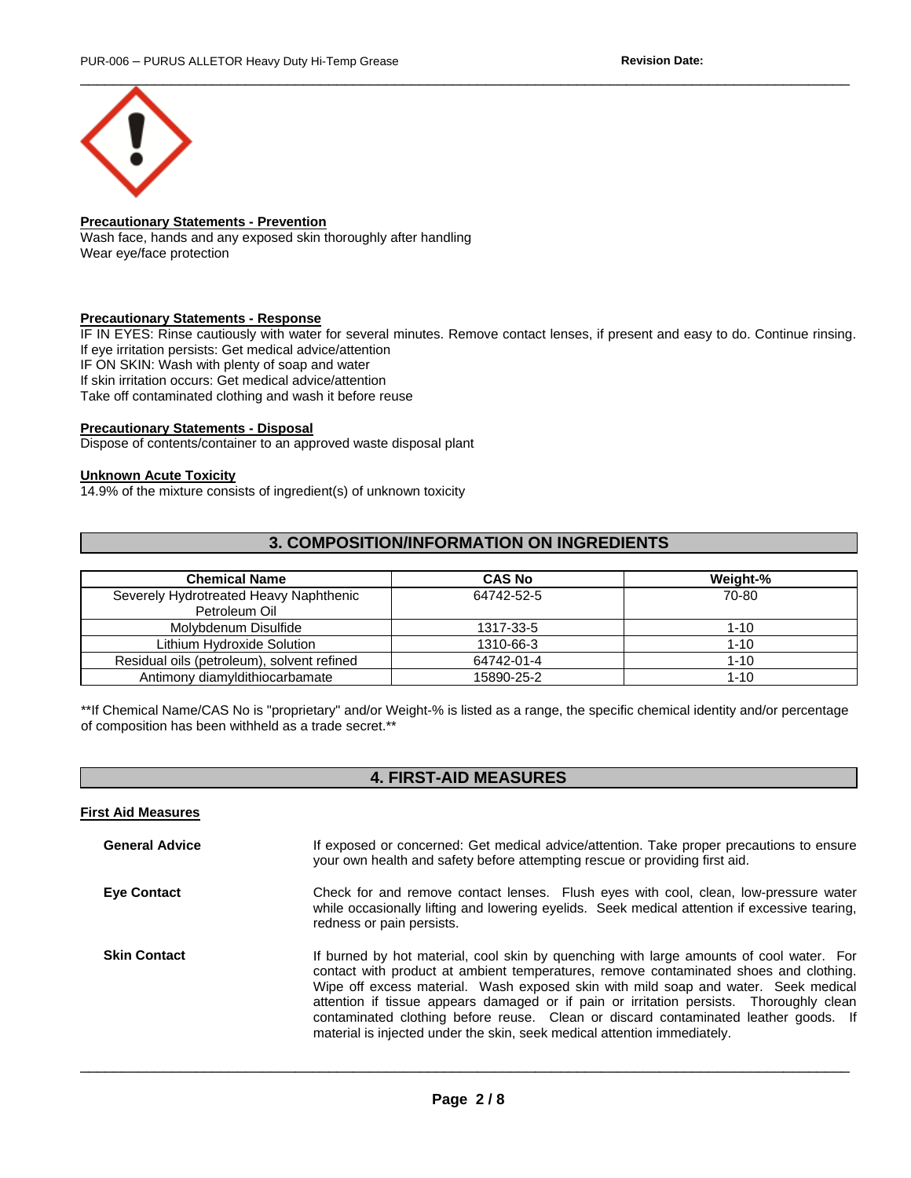

## **Precautionary Statements - Prevention**

Wash face, hands and any exposed skin thoroughly after handling Wear eye/face protection

#### **Precautionary Statements - Response**

IF IN EYES: Rinse cautiously with water for several minutes. Remove contact lenses, if present and easy to do. Continue rinsing. If eye irritation persists: Get medical advice/attention IF ON SKIN: Wash with plenty of soap and water If skin irritation occurs: Get medical advice/attention Take off contaminated clothing and wash it before reuse

#### **Precautionary Statements - Disposal**

Dispose of contents/container to an approved waste disposal plant

#### **Unknown Acute Toxicity**

14.9% of the mixture consists of ingredient(s) of unknown toxicity

## **3. COMPOSITION/INFORMATION ON INGREDIENTS**

| <b>Chemical Name</b>                                    | <b>CAS No</b> | Weight-% |
|---------------------------------------------------------|---------------|----------|
| Severely Hydrotreated Heavy Naphthenic<br>Petroleum Oil | 64742-52-5    | 70-80    |
| Molvbdenum Disulfide                                    | 1317-33-5     | $1 - 10$ |
| Lithium Hydroxide Solution                              | 1310-66-3     | $1 - 10$ |
| Residual oils (petroleum), solvent refined              | 64742-01-4    | $1 - 10$ |
| Antimony diamyldithiocarbamate                          | 15890-25-2    | $1 - 10$ |

\*\*If Chemical Name/CAS No is "proprietary" and/or Weight-% is listed as a range, the specific chemical identity and/or percentage of composition has been withheld as a trade secret.\*\*

## **4. FIRST-AID MEASURES**

| <b>First Aid Measures</b> |                                                                                                                                                                                                                                                                                                                                                                                                                                                                                                                                      |
|---------------------------|--------------------------------------------------------------------------------------------------------------------------------------------------------------------------------------------------------------------------------------------------------------------------------------------------------------------------------------------------------------------------------------------------------------------------------------------------------------------------------------------------------------------------------------|
| <b>General Advice</b>     | If exposed or concerned: Get medical advice/attention. Take proper precautions to ensure<br>your own health and safety before attempting rescue or providing first aid.                                                                                                                                                                                                                                                                                                                                                              |
| <b>Eye Contact</b>        | Check for and remove contact lenses. Flush eyes with cool, clean, low-pressure water<br>while occasionally lifting and lowering eyelids. Seek medical attention if excessive tearing,<br>redness or pain persists.                                                                                                                                                                                                                                                                                                                   |
| <b>Skin Contact</b>       | If burned by hot material, cool skin by quenching with large amounts of cool water. For<br>contact with product at ambient temperatures, remove contaminated shoes and clothing.<br>Wipe off excess material. Wash exposed skin with mild soap and water. Seek medical<br>attention if tissue appears damaged or if pain or irritation persists. Thoroughly clean<br>contaminated clothing before reuse. Clean or discard contaminated leather goods. If<br>material is injected under the skin, seek medical attention immediately. |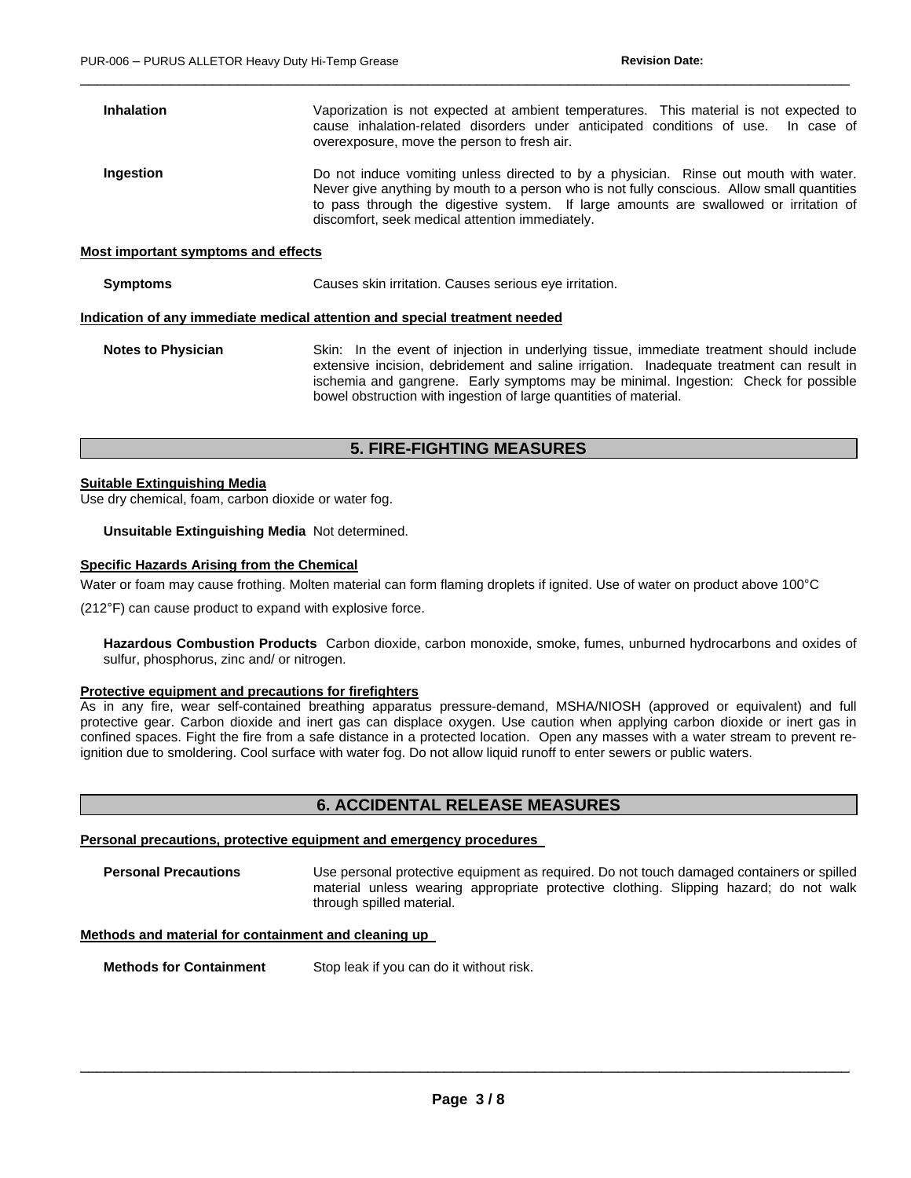| <b>Inhalation</b>                   | Vaporization is not expected at ambient temperatures. This material is not expected to<br>cause inhalation-related disorders under anticipated conditions of use. In case of<br>overexposure, move the person to fresh air.                                                                                                                       |  |
|-------------------------------------|---------------------------------------------------------------------------------------------------------------------------------------------------------------------------------------------------------------------------------------------------------------------------------------------------------------------------------------------------|--|
| Ingestion                           | Do not induce vomiting unless directed to by a physician. Rinse out mouth with water.<br>Never give anything by mouth to a person who is not fully conscious. Allow small quantities<br>to pass through the digestive system. If large amounts are swallowed or irritation of<br>discomfort, seek medical attention immediately.                  |  |
| Most important symptoms and effects |                                                                                                                                                                                                                                                                                                                                                   |  |
| <b>Symptoms</b>                     | Causes skin irritation. Causes serious eye irritation.                                                                                                                                                                                                                                                                                            |  |
|                                     | Indication of any immediate medical attention and special treatment needed                                                                                                                                                                                                                                                                        |  |
| <b>Notes to Physician</b>           | Skin: In the event of injection in underlying tissue, immediate treatment should include<br>extensive incision, debridement and saline irrigation. Inadequate treatment can result in<br>ischemia and gangrene. Early symptoms may be minimal. Ingestion: Check for possible<br>bowel obstruction with ingestion of large quantities of material. |  |

 $\Box$ 

# **5. FIRE-FIGHTING MEASURES**

#### **Suitable Extinguishing Media**

Use dry chemical, foam, carbon dioxide or water fog.

**Unsuitable Extinguishing Media** Not determined.

#### **Specific Hazards Arising from the Chemical**

Water or foam may cause frothing. Molten material can form flaming droplets if ignited. Use of water on product above 100°C

(212°F) can cause product to expand with explosive force.

**Hazardous Combustion Products** Carbon dioxide, carbon monoxide, smoke, fumes, unburned hydrocarbons and oxides of sulfur, phosphorus, zinc and/ or nitrogen.

#### **Protective equipment and precautions for firefighters**

As in any fire, wear self-contained breathing apparatus pressure-demand, MSHA/NIOSH (approved or equivalent) and full protective gear. Carbon dioxide and inert gas can displace oxygen. Use caution when applying carbon dioxide or inert gas in confined spaces. Fight the fire from a safe distance in a protected location. Open any masses with a water stream to prevent reignition due to smoldering. Cool surface with water fog. Do not allow liquid runoff to enter sewers or public waters.

## **6. ACCIDENTAL RELEASE MEASURES**

#### **Personal precautions, protective equipment and emergency procedures**

**Personal Precautions** Use personal protective equipment as required. Do not touch damaged containers or spilled material unless wearing appropriate protective clothing. Slipping hazard; do not walk through spilled material.

#### **Methods and material for containment and cleaning up**

**Methods for Containment** Stop leak if you can do it without risk.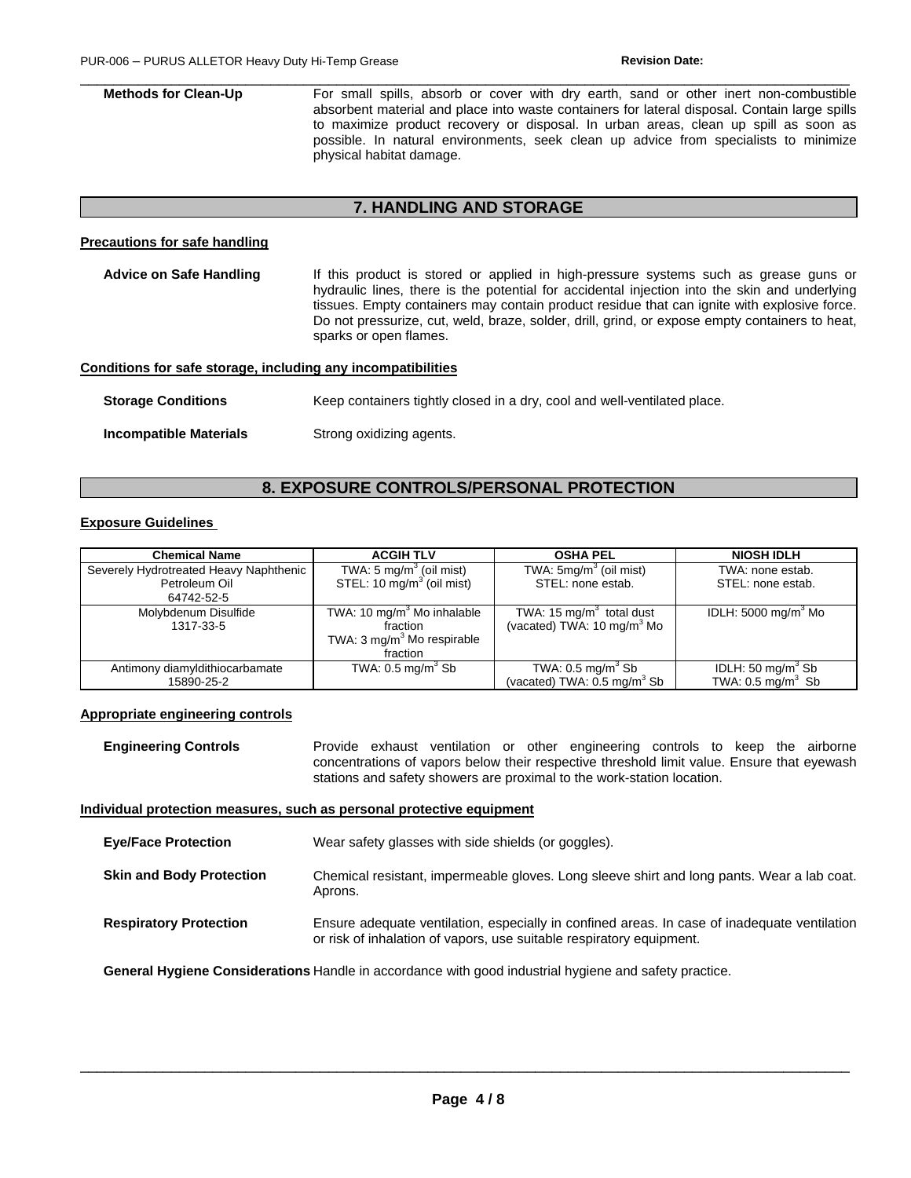**Methods for Clean-Up For small spills, absorb or cover with dry earth, sand or other inert non-combustible** absorbent material and place into waste containers for lateral disposal. Contain large spills to maximize product recovery or disposal. In urban areas, clean up spill as soon as possible. In natural environments, seek clean up advice from specialists to minimize physical habitat damage.

 $\Box$ 

## **7. HANDLING AND STORAGE**

#### **Precautions for safe handling**

| Advice on Safe Handling                                      | If this product is stored or applied in high-pressure systems such as grease guns or<br>hydraulic lines, there is the potential for accidental injection into the skin and underlying<br>tissues. Empty containers may contain product residue that can ignite with explosive force.<br>Do not pressurize, cut, weld, braze, solder, drill, grind, or expose empty containers to heat,<br>sparks or open flames. |
|--------------------------------------------------------------|------------------------------------------------------------------------------------------------------------------------------------------------------------------------------------------------------------------------------------------------------------------------------------------------------------------------------------------------------------------------------------------------------------------|
| Conditions for safe storage, including any incompatibilities |                                                                                                                                                                                                                                                                                                                                                                                                                  |
| <b>Storage Conditions</b>                                    | Keep containers tightly closed in a dry, cool and well-ventilated place.                                                                                                                                                                                                                                                                                                                                         |

**Incompatible Materials Strong oxidizing agents.** 

# **8. EXPOSURE CONTROLS/PERSONAL PROTECTION**

## **Exposure Guidelines**

| <b>Chemical Name</b>                   | <b>ACGIH TLV</b>                       | <b>OSHA PEL</b>                        | <b>NIOSH IDLH</b>              |
|----------------------------------------|----------------------------------------|----------------------------------------|--------------------------------|
| Severely Hydrotreated Heavy Naphthenic | TWA: 5 mg/m $3$ (oil mist)             | TWA: 5mg/m <sup>3</sup> (oil mist)     | TWA: none estab.               |
| Petroleum Oil                          | STEL: 10 mg/m <sup>3</sup> (oil mist)  | STEL: none estab.                      | STEL: none estab.              |
| 64742-52-5                             |                                        |                                        |                                |
| Molybdenum Disulfide                   | TWA: 10 mg/m <sup>3</sup> Mo inhalable | TWA: 15 $mg/m3$ total dust             | IDLH: $5000 \text{ mg/m}^3$ Mo |
| 1317-33-5                              | fraction                               | (vacated) TWA: 10 mg/m <sup>3</sup> Mo |                                |
|                                        | TWA: $3 \text{ mg/m}^3$ Mo respirable  |                                        |                                |
|                                        | fraction                               |                                        |                                |
| Antimony diamyldithiocarbamate         | TWA: $0.5 \text{ ma/m}^3$ Sb           | TWA: $0.5 \text{ mg/m}^3$ Sb           | IDLH: 50 mg/m <sup>3</sup> Sb  |
| 15890-25-2                             |                                        | (vacated) TWA: $0.5 \text{ mg/m}^3$ Sb | TWA: $0.5 \text{ mg/m}^3$ Sb   |

#### **Appropriate engineering controls**

**Engineering Controls** Provide exhaust ventilation or other engineering controls to keep the airborne concentrations of vapors below their respective threshold limit value. Ensure that eyewash stations and safety showers are proximal to the work-station location.

## **Individual protection measures, such as personal protective equipment**

| <b>Eve/Face Protection</b>      | Wear safety glasses with side shields (or goggles).                                                                                                                  |
|---------------------------------|----------------------------------------------------------------------------------------------------------------------------------------------------------------------|
| <b>Skin and Body Protection</b> | Chemical resistant, impermeable gloves. Long sleeve shirt and long pants. Wear a lab coat.<br>Aprons.                                                                |
| <b>Respiratory Protection</b>   | Ensure adequate ventilation, especially in confined areas. In case of inadequate ventilation<br>or risk of inhalation of vapors, use suitable respiratory equipment. |

**General Hygiene Considerations** Handle in accordance with good industrial hygiene and safety practice.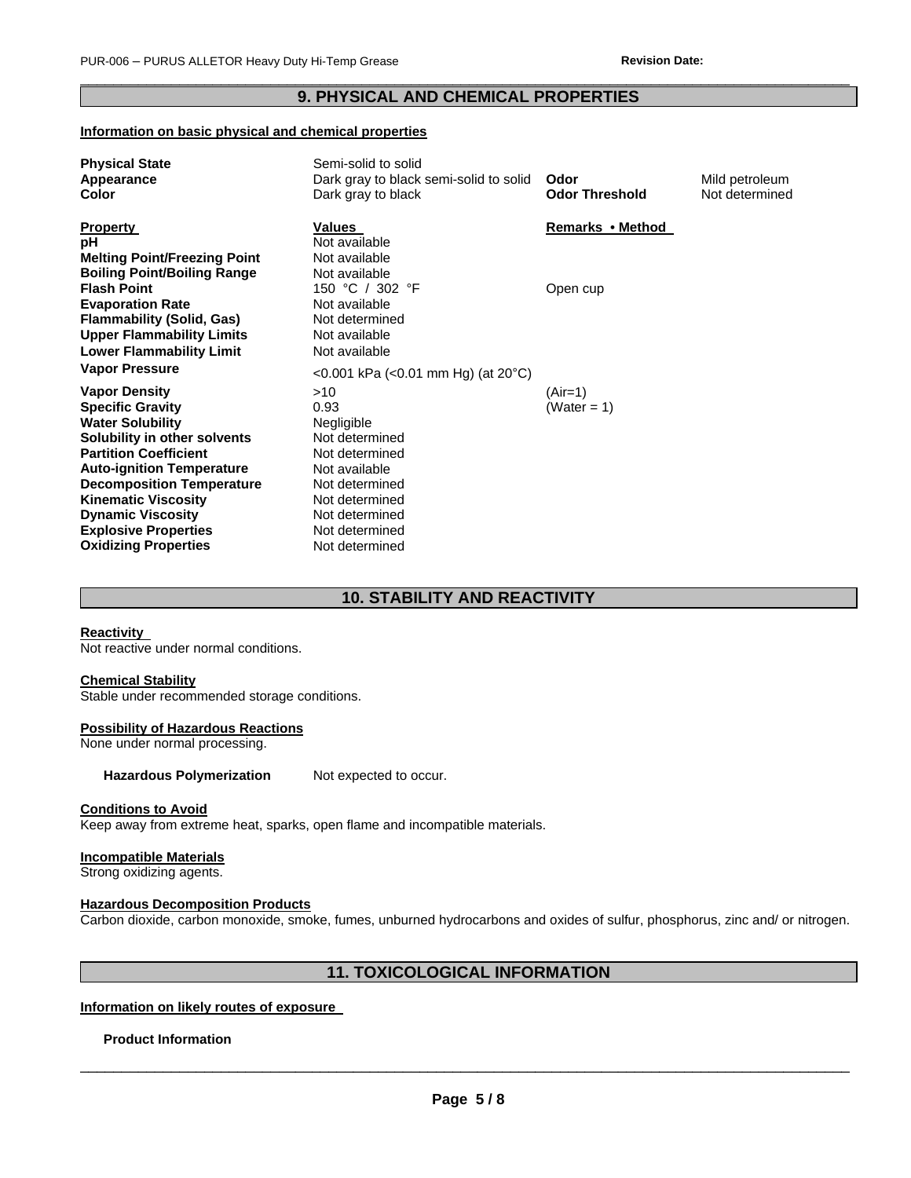## $\Box$ **9. PHYSICAL AND CHEMICAL PROPERTIES**

#### **Information on basic physical and chemical properties**

| <b>Physical State</b>               | Semi-solid to solid                    |                       |                |
|-------------------------------------|----------------------------------------|-----------------------|----------------|
| Appearance                          | Dark gray to black semi-solid to solid | Odor                  | Mild petroleum |
| Color                               | Dark gray to black                     | <b>Odor Threshold</b> | Not determined |
| <b>Property</b>                     | Values                                 | Remarks • Method      |                |
| рH                                  | Not available                          |                       |                |
| <b>Melting Point/Freezing Point</b> | Not available                          |                       |                |
| <b>Boiling Point/Boiling Range</b>  | Not available                          |                       |                |
| <b>Flash Point</b>                  | 150 °C / 302 °F                        | Open cup              |                |
| <b>Evaporation Rate</b>             | Not available                          |                       |                |
| <b>Flammability (Solid, Gas)</b>    | Not determined                         |                       |                |
| <b>Upper Flammability Limits</b>    | Not available                          |                       |                |
| <b>Lower Flammability Limit</b>     | Not available                          |                       |                |
| <b>Vapor Pressure</b>               | <0.001 kPa (<0.01 mm Hg) (at 20°C)     |                       |                |
| <b>Vapor Density</b>                | >10                                    | $(Air=1)$             |                |
| <b>Specific Gravity</b>             | 0.93                                   | (Water = 1)           |                |
| <b>Water Solubility</b>             | Negligible                             |                       |                |
| Solubility in other solvents        | Not determined                         |                       |                |
| <b>Partition Coefficient</b>        | Not determined                         |                       |                |
| <b>Auto-ignition Temperature</b>    | Not available                          |                       |                |
| <b>Decomposition Temperature</b>    | Not determined                         |                       |                |
| <b>Kinematic Viscosity</b>          | Not determined                         |                       |                |
| <b>Dynamic Viscosity</b>            | Not determined                         |                       |                |
| <b>Explosive Properties</b>         | Not determined                         |                       |                |
| <b>Oxidizing Properties</b>         | Not determined                         |                       |                |

# **10. STABILITY AND REACTIVITY**

#### **Reactivity**

Not reactive under normal conditions.

#### **Chemical Stability**

Stable under recommended storage conditions.

#### **Possibility of Hazardous Reactions**

None under normal processing.

Hazardous Polymerization Not expected to occur.

#### **Conditions to Avoid**

Keep away from extreme heat, sparks, open flame and incompatible materials.

## **Incompatible Materials**

Strong oxidizing agents.

#### **Hazardous Decomposition Products**

Carbon dioxide, carbon monoxide, smoke, fumes, unburned hydrocarbons and oxides of sulfur, phosphorus, zinc and/ or nitrogen.

## **11. TOXICOLOGICAL INFORMATION**

## **Information on likely routes of exposure**

#### **Product Information**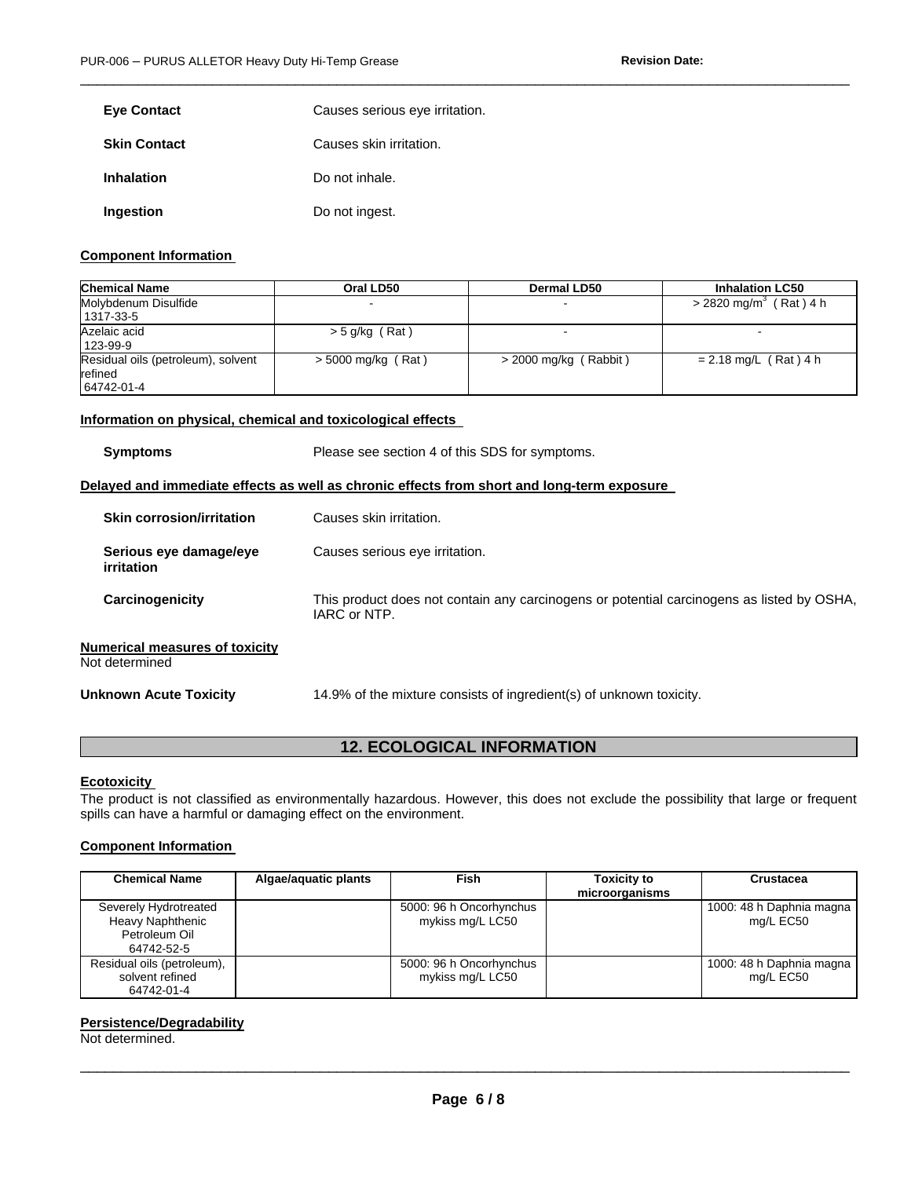| <b>Eye Contact</b>  | Causes serious eye irritation. |
|---------------------|--------------------------------|
| <b>Skin Contact</b> | Causes skin irritation.        |
| <b>Inhalation</b>   | Do not inhale.                 |
| Ingestion           | Do not ingest.                 |

#### **Component Information**

| <b>Chemical Name</b>                                        | Oral LD50            | Dermal LD50             | <b>Inhalation LC50</b>               |
|-------------------------------------------------------------|----------------------|-------------------------|--------------------------------------|
| Molybdenum Disulfide<br>1317-33-5                           |                      |                         | $>$ 2820 mg/m <sup>3</sup> (Rat) 4 h |
| Azelaic acid<br>123-99-9                                    | $>$ 5 g/kg (Rat)     |                         |                                      |
| Residual oils (petroleum), solvent<br>refined<br>64742-01-4 | $>$ 5000 mg/kg (Rat) | $>$ 2000 mg/kg (Rabbit) | $= 2.18$ mg/L (Rat) 4 h              |

 $\Box$ 

#### **Information on physical, chemical and toxicological effects**

| <b>Symptoms</b>                                         | Please see section 4 of this SDS for symptoms.                                                            |
|---------------------------------------------------------|-----------------------------------------------------------------------------------------------------------|
|                                                         | Delayed and immediate effects as well as chronic effects from short and long-term exposure                |
| <b>Skin corrosion/irritation</b>                        | Causes skin irritation.                                                                                   |
| Serious eye damage/eye<br>irritation                    | Causes serious eye irritation.                                                                            |
| Carcinogenicity                                         | This product does not contain any carcinogens or potential carcinogens as listed by OSHA,<br>IARC or NTP. |
| <b>Numerical measures of toxicity</b><br>Not determined |                                                                                                           |
| <b>Unknown Acute Toxicity</b>                           | 14.9% of the mixture consists of ingredient(s) of unknown toxicity.                                       |
|                                                         |                                                                                                           |

# **12. ECOLOGICAL INFORMATION**

#### **Ecotoxicity**

The product is not classified as environmentally hazardous. However, this does not exclude the possibility that large or frequent spills can have a harmful or damaging effect on the environment.

## **Component Information**

| <b>Chemical Name</b>                                                     | Algae/aquatic plants | <b>Fish</b>                                 | <b>Toxicity to</b><br>microorganisms | Crustacea                             |
|--------------------------------------------------------------------------|----------------------|---------------------------------------------|--------------------------------------|---------------------------------------|
| Severely Hydrotreated<br>Heavy Naphthenic<br>Petroleum Oil<br>64742-52-5 |                      | 5000: 96 h Oncorhynchus<br>mykiss mg/L LC50 |                                      | 1000: 48 h Daphnia magna<br>mg/L EC50 |
| Residual oils (petroleum),<br>solvent refined<br>64742-01-4              |                      | 5000: 96 h Oncorhynchus<br>mykiss mg/L LC50 |                                      | 1000: 48 h Daphnia magna<br>mg/L EC50 |

## **Persistence/Degradability**

Not determined.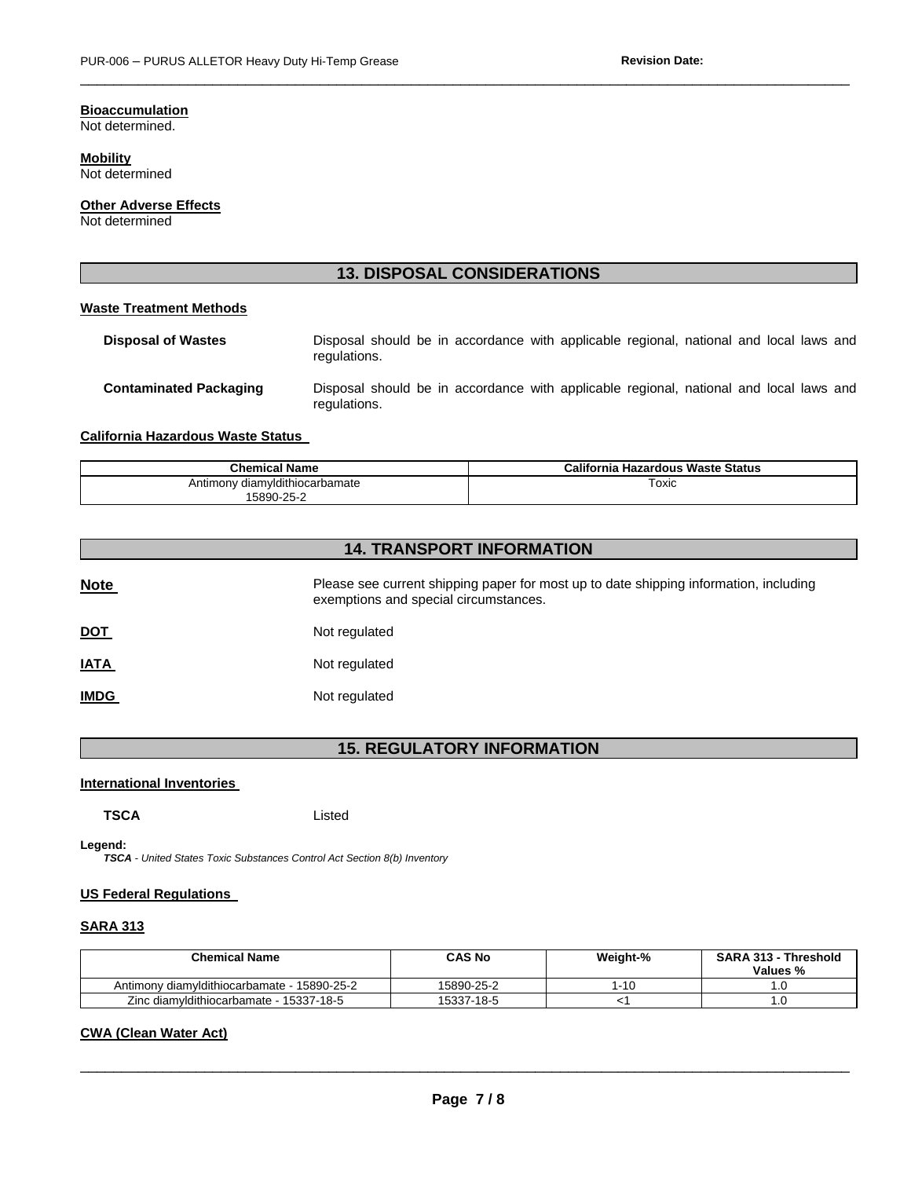## **Bioaccumulation**

Not determined.

**Mobility** Not determined

**Other Adverse Effects**

Not determined

# **13. DISPOSAL CONSIDERATIONS**

 $\Box$ 

#### **Waste Treatment Methods**

| <b>Disposal of Wastes</b>     | regulations. |  | Disposal should be in accordance with applicable regional, national and local laws and |  |  |  |  |
|-------------------------------|--------------|--|----------------------------------------------------------------------------------------|--|--|--|--|
| <b>Contaminated Packaging</b> | regulations. |  | Disposal should be in accordance with applicable regional, national and local laws and |  |  |  |  |

#### **California Hazardous Waste Status**

| <b>Chemical Name</b>           | California Hazardous Waste Status |
|--------------------------------|-----------------------------------|
| Antimony diamyldithiocarbamate | ⊺oxic<br>$\sim$ $\sim$            |
| 5890-25-2                      |                                   |

# **14. TRANSPORT INFORMATION**

| <b>Note</b> | Please see current shipping paper for most up to date shipping information, including<br>exemptions and special circumstances. |
|-------------|--------------------------------------------------------------------------------------------------------------------------------|
| <u>DOT</u>  | Not regulated                                                                                                                  |
| <u>IATA</u> | Not regulated                                                                                                                  |
| <b>IMDG</b> | Not regulated                                                                                                                  |

# **15. REGULATORY INFORMATION**

#### **International Inventories**

Listed

**Legend:** 

*TSCA - United States Toxic Substances Control Act Section 8(b) Inventory* 

#### **US Federal Regulations**

## **SARA 313**

| <b>Chemical Name</b>                        | CAS No     | Weight-% | SARA 313 - Threshold<br>Values % |
|---------------------------------------------|------------|----------|----------------------------------|
| Antimony diamyldithiocarbamate - 15890-25-2 | 15890-25-2 | l-10     | .U                               |
| Zinc diamyldithiocarbamate - 15337-18-5     | 15337-18-5 |          | .U                               |

## **CWA (Clean Water Act)**